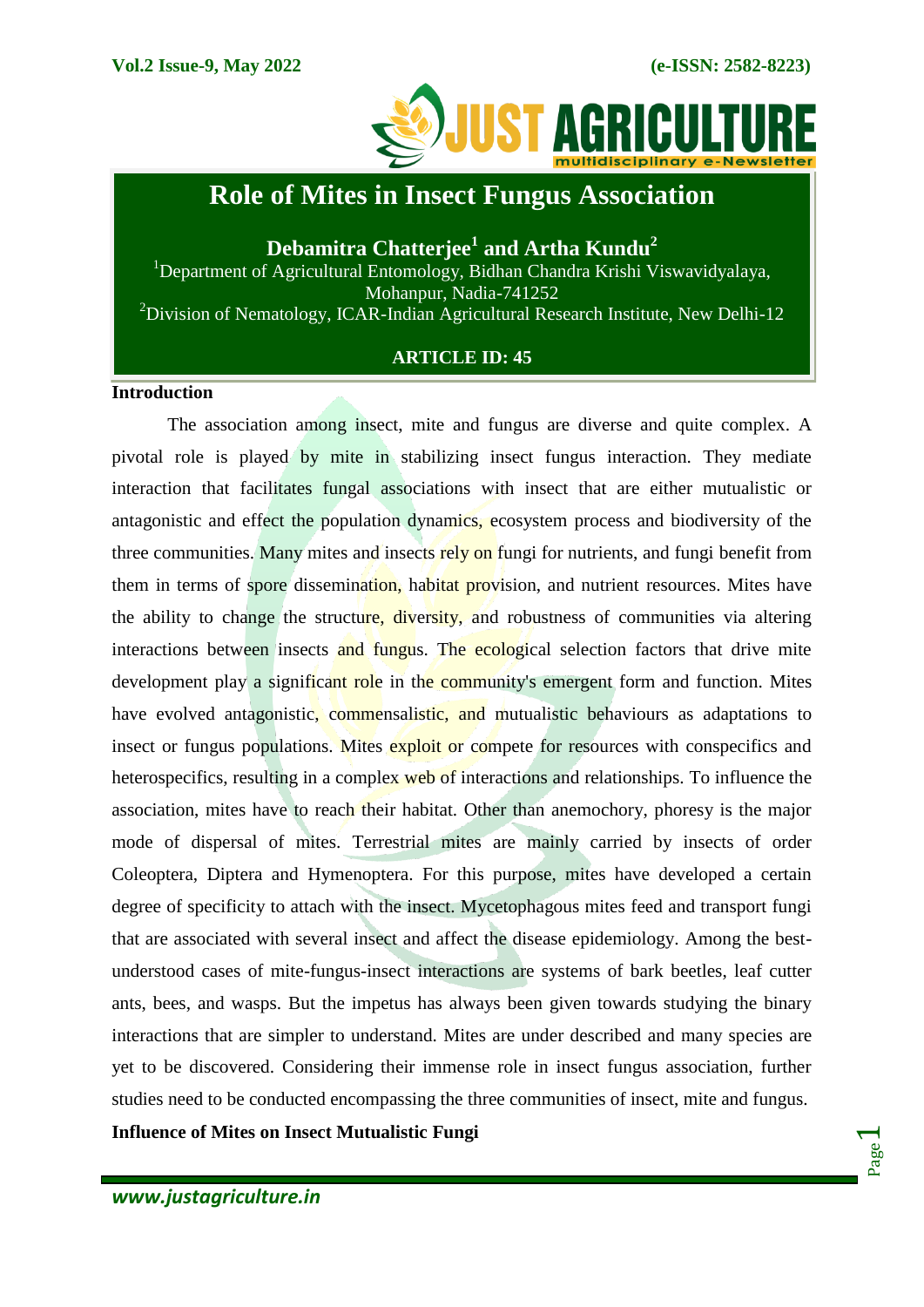

# **Role of Mites in Insect Fungus Association**

**Debamitra Chatterjee<sup>1</sup> and Artha Kundu<sup>2</sup>**

<sup>1</sup>Department of Agricultural Entomology, Bidhan Chandra Krishi Viswavidyalaya, Mohanpur, Nadia-741252 <sup>2</sup>Division of Nematology, ICAR-Indian Agricultural Research Institute, New Delhi-12

# **ARTICLE ID: 45**

### **Introduction**

The association among insect, mite and fungus are diverse and quite complex. A pivotal role is played by mite in stabilizing insect fungus interaction. They mediate interaction that facilitates fungal associations with insect that are either mutualistic or antagonistic and effect the population dynamics, ecosystem process and biodiversity of the three communities. Many mites and insects rely on fungi for nutrients, and fungi benefit from them in terms of spore dissemination, habitat provision, and nutrient resources. Mites have the ability to change the structure, diversity, and robustness of communities via altering interactions between insects and fungus. The ecological selection factors that drive mite development play a significant role in the community's emergent form and function. Mites have evolved antagonistic, commensalistic, and mutualistic behaviours as adaptations to insect or fungus populations. Mites exploit or compete for resources with conspecifics and heterospecifics, resulting in a complex web of interactions and relationships. To influence the association, mites have to reach their habitat. Other than anemochory, phoresy is the major mode of dispersal of mites. Terrestrial mites are mainly carried by insects of order Coleoptera, Diptera and Hymenoptera. For this purpose, mites have developed a certain degree of specificity to attach with the insect. Mycetophagous mites feed and transport fungi that are associated with several insect and affect the disease epidemiology. Among the bestunderstood cases of mite-fungus-insect interactions are systems of bark beetles, leaf cutter ants, bees, and wasps. But the impetus has always been given towards studying the binary interactions that are simpler to understand. Mites are under described and many species are yet to be discovered. Considering their immense role in insect fungus association, further studies need to be conducted encompassing the three communities of insect, mite and fungus.

**Influence of Mites on Insect Mutualistic Fungi**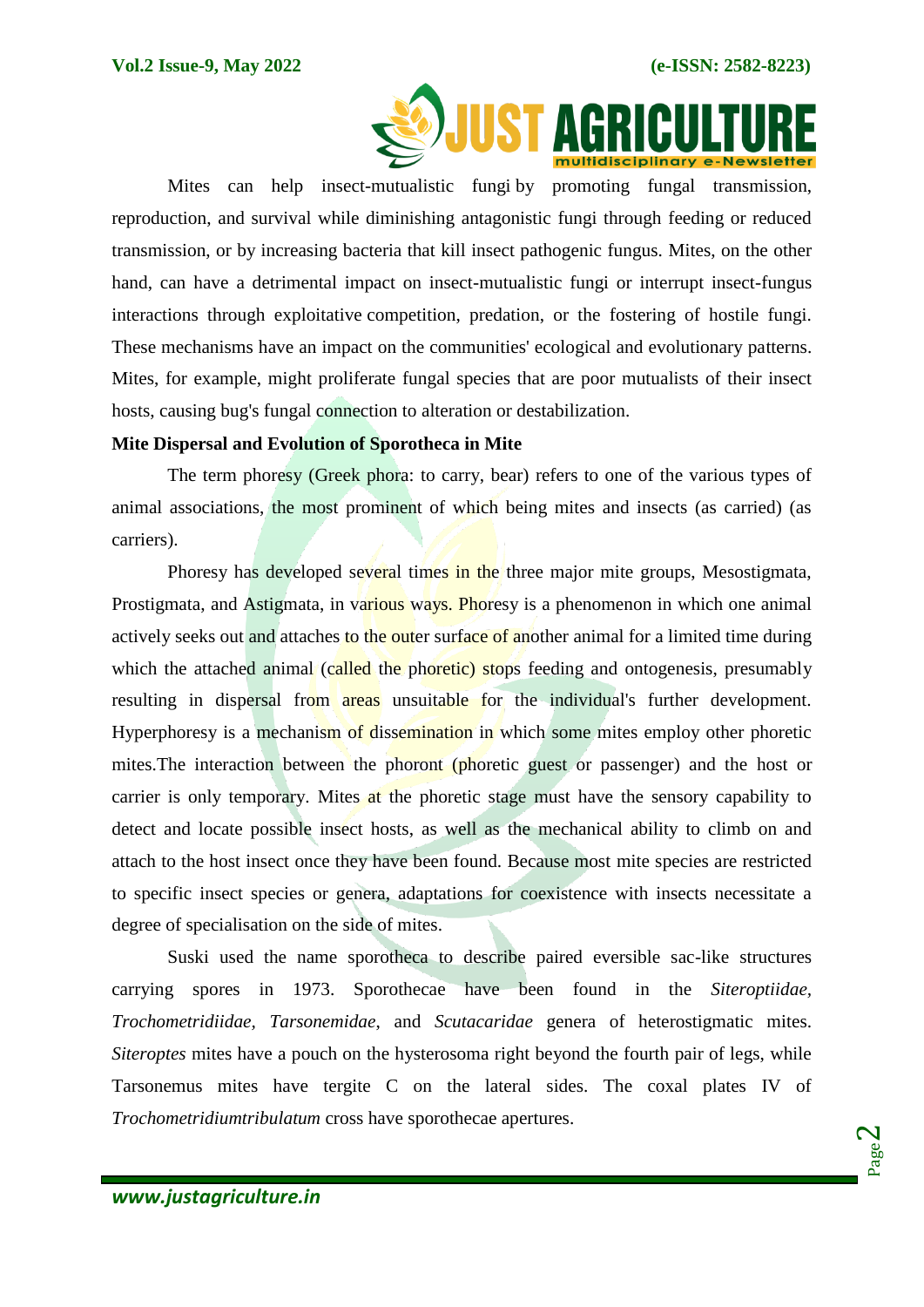

Mites can help insect-mutualistic fungi by promoting fungal transmission, reproduction, and survival while diminishing antagonistic fungi through feeding or reduced transmission, or by increasing bacteria that kill insect pathogenic fungus. Mites, on the other hand, can have a detrimental impact on insect-mutualistic fungi or interrupt insect-fungus interactions through exploitative competition, predation, or the fostering of hostile fungi. These mechanisms have an impact on the communities' ecological and evolutionary patterns. Mites, for example, might proliferate fungal species that are poor mutualists of their insect hosts, causing bug's fungal connection to alteration or destabilization.

### **Mite Dispersal and Evolution of Sporotheca in Mite**

The term phoresy (Greek phora: to carry, bear) refers to one of the various types of animal associations, the most prominent of which being mites and insects (as carried) (as carriers).

Phoresy has developed several times in the three major mite groups, Mesostigmata, Prostigmata, and Astigmata, in various ways. Phoresy is a phenomenon in which one animal actively seeks out and attaches to the outer surface of another animal for a limited time during which the attached animal (called the phoretic) stops feeding and ontogenesis, presumably resulting in dispersal from areas unsuitable for the individual's further development. Hyperphoresy is a mechanism of dissemination in which some mites employ other phoretic mites.The interaction between the phoront (phoretic guest or passenger) and the host or carrier is only temporary. Mites at the phoretic stage must have the sensory capability to detect and locate possible insect hosts, as well as the mechanical ability to climb on and attach to the host insect once they have been found. Because most mite species are restricted to specific insect species or genera, adaptations for coexistence with insects necessitate a degree of specialisation on the side of mites.

Suski used the name sporotheca to describe paired eversible sac-like structures carrying spores in 1973. Sporothecae have been found in the *Siteroptiidae, Trochometridiidae, Tarsonemidae*, and *Scutacaridae* genera of heterostigmatic mites. *Siteroptes* mites have a pouch on the hysterosoma right beyond the fourth pair of legs, while Tarsonemus mites have tergite C on the lateral sides. The coxal plates IV of *Trochometridiumtribulatum* cross have sporothecae apertures.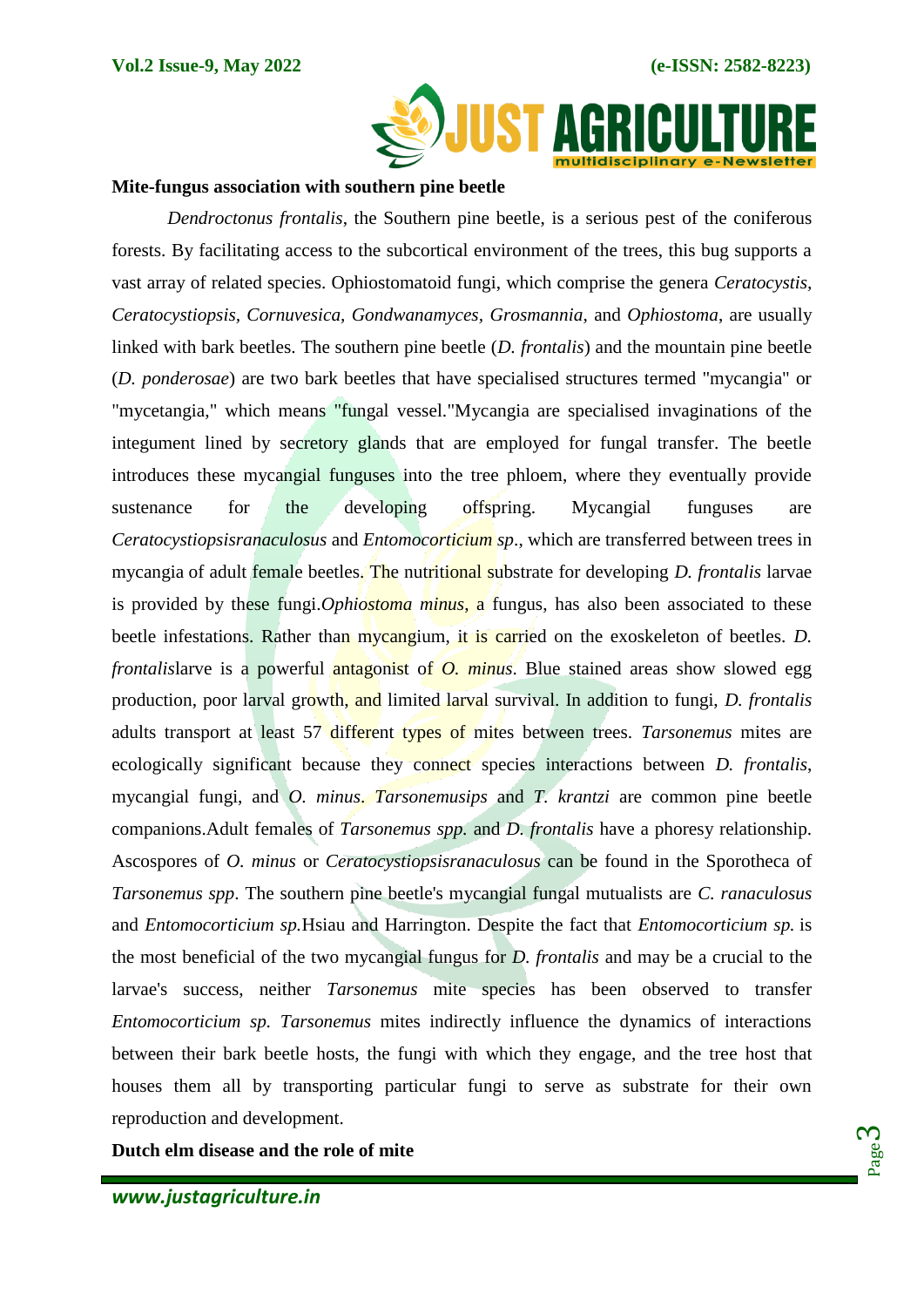

#### **Mite-fungus association with southern pine beetle**

*Dendroctonus frontalis*, the Southern pine beetle, is a serious pest of the coniferous forests. By facilitating access to the subcortical environment of the trees, this bug supports a vast array of related species. Ophiostomatoid fungi, which comprise the genera *Ceratocystis, Ceratocystiopsis, Cornuvesica, Gondwanamyces, Grosmannia*, and *Ophiostoma*, are usually linked with bark beetles. The southern pine beetle (*D. frontalis*) and the mountain pine beetle (*D. ponderosae*) are two bark beetles that have specialised structures termed "mycangia" or "mycetangia," which means "fungal vessel."Mycangia are specialised invaginations of the integument lined by secretory glands that are employed for fungal transfer. The beetle introduces these mycangial funguses into the tree phloem, where they eventually provide sustenance for the developing offspring. Mycangial funguses are *Ceratocystiopsisranaculosus* and *Entomocorticium sp*., which are transferred between trees in mycangia of adult female beetles. The nutritional substrate for developing *D. frontalis* larvae is provided by these fungi.*Ophiostoma minus*, a fungus, has also been associated to these beetle infestations. Rather than mycangium, it is carried on the exoskeleton of beetles. *D. frontalislarve is a powerful antagonist of <i>O. minus*. Blue stained areas show slowed egg production, poor larval growth, and limited larval survival. In addition to fungi, *D. frontalis* adults transport at least 57 different types of mites between trees. *Tarsonemus* mites are ecologically significant because they connect species interactions between *D. frontalis*, mycangial fungi, and *O. minus*. *Tarsonemusips* and *T. krantzi* are common pine beetle companions.Adult females of *Tarsonemus spp.* and *D. frontalis* have a phoresy relationship. Ascospores of *O. minus* or *Ceratocystiopsisranaculosus* can be found in the Sporotheca of *Tarsonemus spp*. The southern pine beetle's mycangial fungal mutualists are *C. ranaculosus* and *Entomocorticium sp.*Hsiau and Harrington. Despite the fact that *Entomocorticium sp.* is the most beneficial of the two mycangial fungus for *D. frontalis* and may be a crucial to the larvae's success, neither *Tarsonemus* mite species has been observed to transfer *Entomocorticium sp. Tarsonemus* mites indirectly influence the dynamics of interactions between their bark beetle hosts, the fungi with which they engage, and the tree host that houses them all by transporting particular fungi to serve as substrate for their own reproduction and development.

**Dutch elm disease and the role of mite**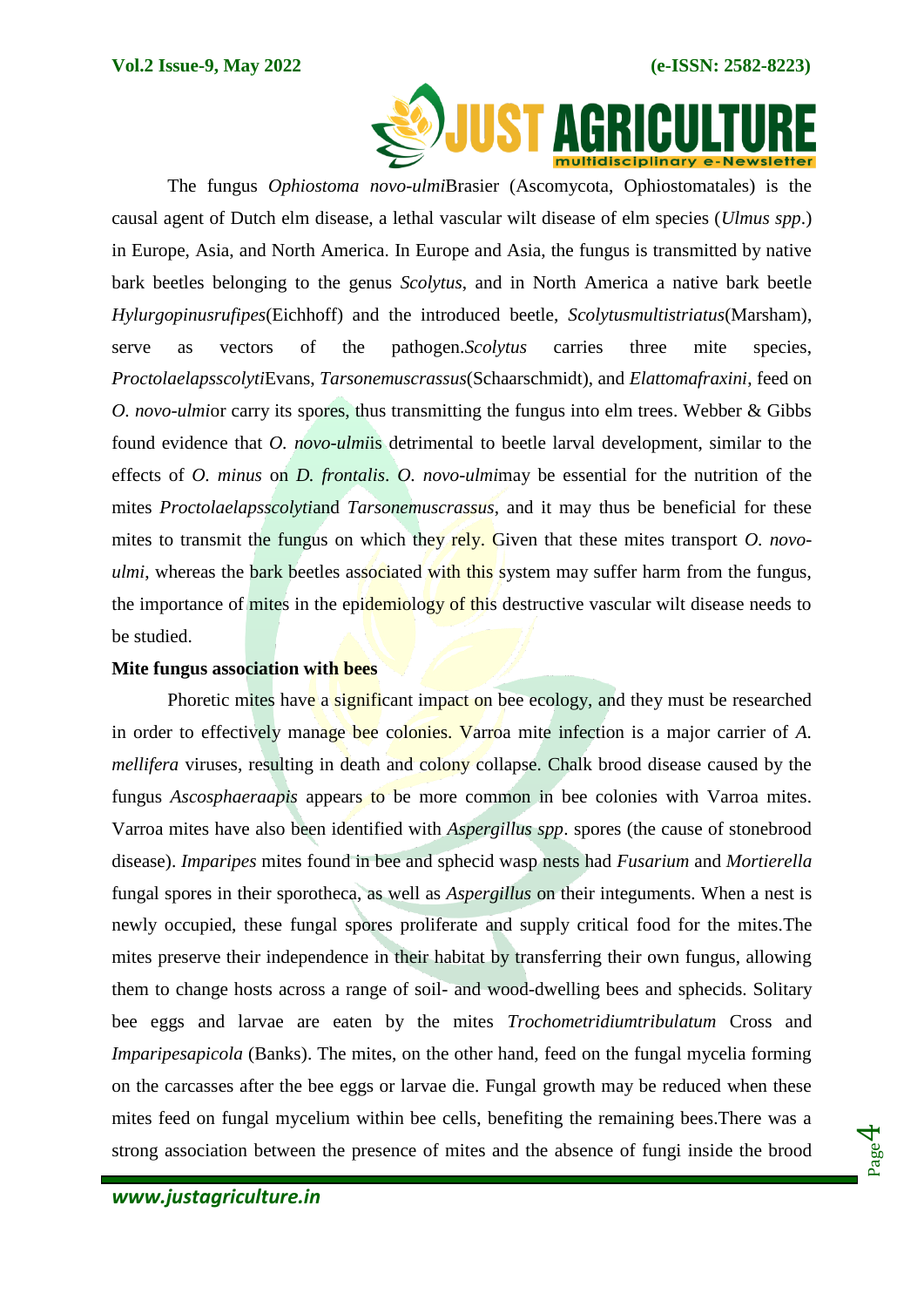

The fungus *Ophiostoma novo-ulmi*Brasier (Ascomycota, Ophiostomatales) is the causal agent of Dutch elm disease, a lethal vascular wilt disease of elm species (*Ulmus spp*.) in Europe, Asia, and North America. In Europe and Asia, the fungus is transmitted by native bark beetles belonging to the genus *Scolytus*, and in North America a native bark beetle *Hylurgopinusrufipes*(Eichhoff) and the introduced beetle, *Scolytusmultistriatus*(Marsham), serve as vectors of the pathogen.*Scolytus* carries three mite species, *Proctolaelapsscolyti*Evans, *Tarsonemuscrassus*(Schaarschmidt), and *Elattomafraxini*, feed on *O. novo-ulmior carry its spores, thus transmitting the fungus into elm trees. Webber & Gibbs* found evidence that *O. novo-ulmi*is detrimental to beetle larval development, similar to the effects of *O. minus* on *D. frontalis*. *O. novo-ulmi*may be essential for the nutrition of the mites *Proctolaelapsscolyti*and *Tarsonemuscrassus*, and it may thus be beneficial for these mites to transmit the fungus on which they rely. Given that these mites transport *O. novoulmi*, whereas the bark beetles associated with this system may suffer harm from the fungus, the importance of mites in the epidemiology of this destructive vascular wilt disease needs to be studied.

### **Mite fungus association with bees**

Phoretic mites have a significant impact on bee ecology, and they must be researched in order to effectively manage bee colonies. Varroa mite infection is a major carrier of *A. mellifera* viruses, resulting in death and colony collapse. Chalk brood disease caused by the fungus *Ascosphaeraapis* appears to be more common in bee colonies with Varroa mites. Varroa mites have also been identified with *Aspergillus spp*. spores (the cause of stonebrood disease). *Imparipes* mites found in bee and sphecid wasp nests had *Fusarium* and *Mortierella* fungal spores in their sporotheca, as well as *Aspergillus* on their integuments. When a nest is newly occupied, these fungal spores proliferate and supply critical food for the mites.The mites preserve their independence in their habitat by transferring their own fungus, allowing them to change hosts across a range of soil- and wood-dwelling bees and sphecids. Solitary bee eggs and larvae are eaten by the mites *Trochometridiumtribulatum* Cross and *Imparipesapicola* (Banks). The mites, on the other hand, feed on the fungal mycelia forming on the carcasses after the bee eggs or larvae die. Fungal growth may be reduced when these mites feed on fungal mycelium within bee cells, benefiting the remaining bees.There was a strong association between the presence of mites and the absence of fungi inside the brood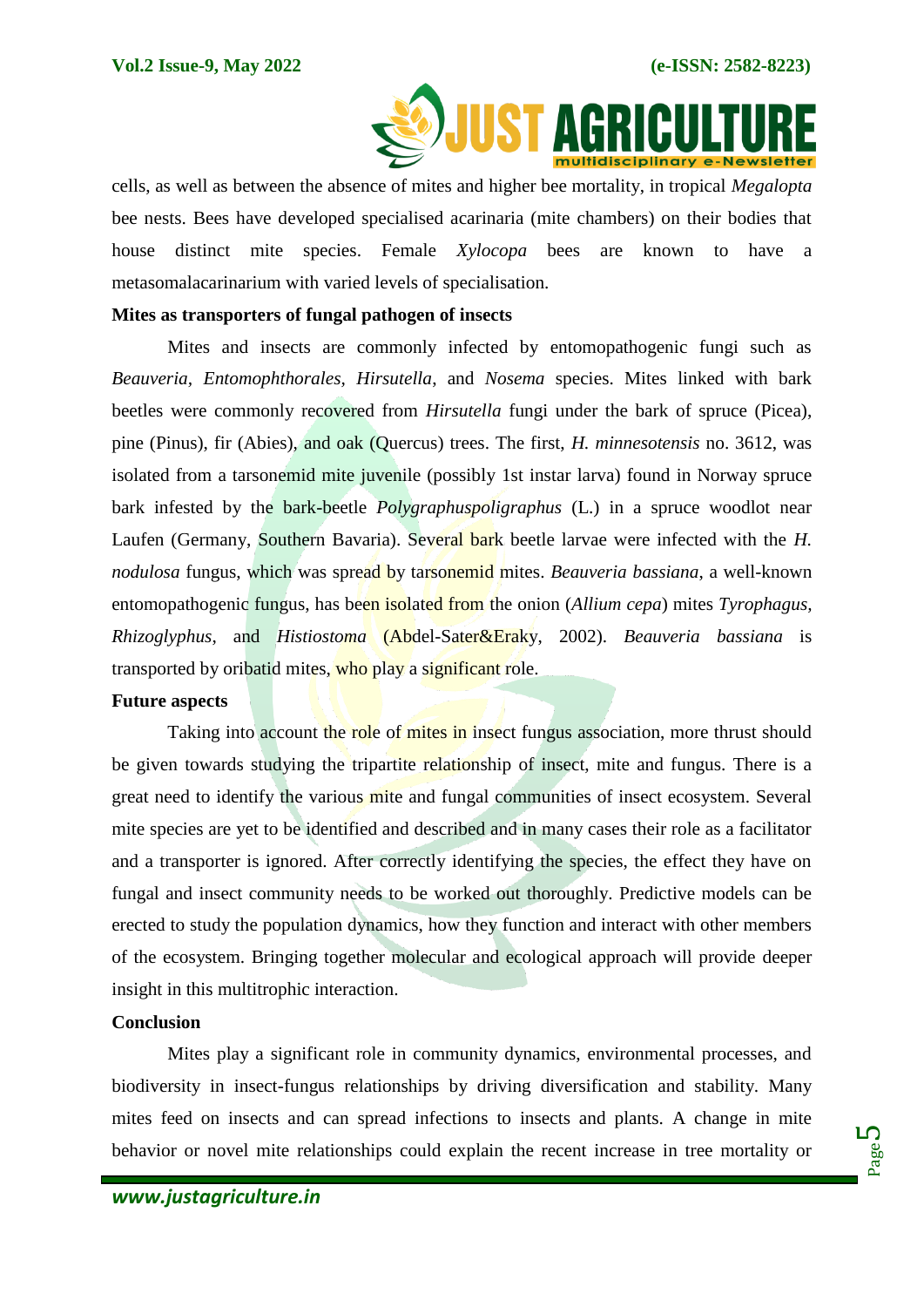

cells, as well as between the absence of mites and higher bee mortality, in tropical *Megalopta* bee nests. Bees have developed specialised acarinaria (mite chambers) on their bodies that house distinct mite species. Female *Xylocopa* bees are known to have a metasomalacarinarium with varied levels of specialisation.

## **Mites as transporters of fungal pathogen of insects**

Mites and insects are commonly infected by entomopathogenic fungi such as *Beauveria, Entomophthorales, Hirsutella*, and *Nosema* species. Mites linked with bark beetles were commonly recovered from *Hirsutella* fungi under the bark of spruce (Picea), pine (Pinus), fir (Abies), and oak (Quercus) trees. The first, *H. minnesotensis* no. 3612, was isolated from a tarsonemid mite juvenile (possibly 1st instar larva) found in Norway spruce bark infested by the bark-beetle *Polygraphuspoligraphus* (L.) in a spruce woodlot near Laufen (Germany, Southern Bavaria). Several bark beetle larvae were infected with the *H. nodulosa* fungus, which was spread by tarsonemid mites. *Beauveria bassiana*, a well-known entomopathogenic fungus, has been isolated from the onion (*Allium cepa*) mites *Tyrophagus, Rhizoglyphus*, and *Histiostoma* (Abdel-Sater&Eraky, 2002). *Beauveria bassiana* is transported by oribatid mites, who play a significant role.

#### **Future aspects**

Taking into account the role of mites in insect fungus association, more thrust should be given towards studying the tripartite relationship of insect, mite and fungus. There is a great need to identify the various mite and fungal communities of insect ecosystem. Several mite species are yet to be identified and described and in many cases their role as a facilitator and a transporter is ignored. After correctly identifying the species, the effect they have on fungal and insect community needs to be worked out thoroughly. Predictive models can be erected to study the population dynamics, how they function and interact with other members of the ecosystem. Bringing together molecular and ecological approach will provide deeper insight in this multitrophic interaction.

## **Conclusion**

Mites play a significant role in community dynamics, environmental processes, and biodiversity in insect-fungus relationships by driving diversification and stability. Many mites feed on insects and can spread infections to insects and plants. A change in mite behavior or novel mite relationships could explain the recent increase in tree mortality or